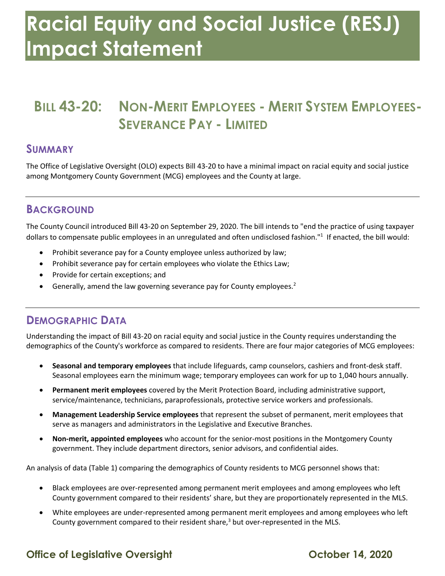# **Racial Equity and Social Justice (RESJ) Impact Statement**

# **SEVERANCE PAY - LIMITED BILL 43-20: NON-MERIT EMPLOYEES - MERIT SYSTEM EMPLOYEES-**

#### **SUMMARY**

 The Office of Legislative Oversight (OLO) expects Bill 43-20 to have a minimal impact on racial equity and social justice among Montgomery County Government (MCG) employees and the County at large.

#### **BACKGROUND**

 The County Council introduced Bill 43-20 on September 29, 2020. The bill intends to "end the practice of using taxpayer dollars to compensate public employees in an unregulated and often undisclosed fashion."<sup>1</sup> If enacted, the bill would:

- Prohibit severance pay for a County employee unless authorized by law;
- Prohibit severance pay for certain employees who violate the Ethics Law;
- Provide for certain exceptions; and
- Generally, amend the law governing severance pay for County employees.<sup>2</sup>

## **DEMOGRAPHIC DATA**

 Understanding the impact of Bill 43-20 on racial equity and social justice in the County requires understanding the demographics of the County's workforce as compared to residents. There are four major categories of MCG employees:

- • **Seasonal and temporary employees** that include lifeguards, camp counselors, cashiers and front-desk staff. Seasonal employees earn the minimum wage; temporary employees can work for up to 1,040 hours annually.
- service/maintenance, technicians, paraprofessionals, protective service workers and professionals. • **Permanent merit employees** covered by the Merit Protection Board, including administrative support,
- **Management Leadership Service employees** that represent the subset of permanent, merit employees that serve as managers and administrators in the Legislative and Executive Branches.
- • **Non-merit, appointed employees** who account for the senior-most positions in the Montgomery County government. They include department directors, senior advisors, and confidential aides.

An analysis of data (Table 1) comparing the demographics of County residents to MCG personnel shows that:

- County government compared to their residents' share, but they are proportionately represented in the MLS. • Black employees are over-represented among permanent merit employees and among employees who left
- • White employees are under-represented among permanent merit employees and among employees who left County government compared to their resident share, $3$  but over-represented in the MLS.

#### **Office of Legislative Oversight Contract Contract Contract October 14, 2020**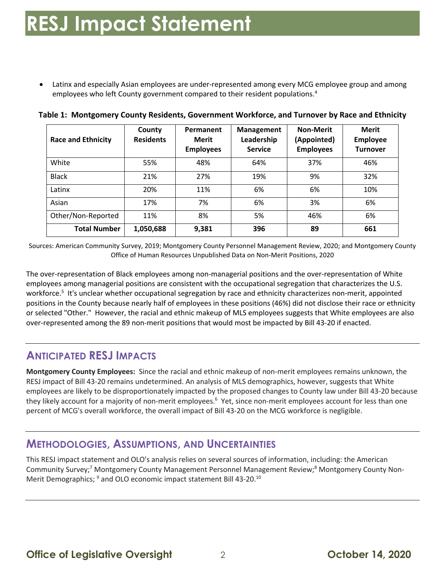• Latinx and especially Asian employees are under-represented among every MCG employee group and among employees who left County government compared to their resident populations.<sup>4</sup>

| <b>Race and Ethnicity</b> | County<br><b>Residents</b> | Permanent<br>Merit<br><b>Employees</b> | <b>Management</b><br>Leadership<br><b>Service</b> | <b>Non-Merit</b><br>(Appointed)<br><b>Employees</b> | <b>Merit</b><br><b>Employee</b><br><b>Turnover</b> |
|---------------------------|----------------------------|----------------------------------------|---------------------------------------------------|-----------------------------------------------------|----------------------------------------------------|
| White                     | 55%                        | 48%                                    | 64%                                               | 37%                                                 | 46%                                                |
| <b>Black</b>              | 21%                        | 27%                                    | 19%                                               | 9%                                                  | 32%                                                |
| Latinx                    | 20%                        | 11%                                    | 6%                                                | 6%                                                  | 10%                                                |
| Asian                     | 17%                        | 7%                                     | 6%                                                | 3%                                                  | 6%                                                 |
| Other/Non-Reported        | 11%                        | 8%                                     | 5%                                                | 46%                                                 | 6%                                                 |
| <b>Total Number</b>       | 1,050,688                  | 9,381                                  | 396                                               | 89                                                  | 661                                                |

 **Table 1: Montgomery County Residents, Government Workforce, and Turnover by Race and Ethnicity** 

 Sources: American Community Survey, 2019; Montgomery County Personnel Management Review, 2020; and Montgomery County Office of Human Resources Unpublished Data on Non-Merit Positions, 2020

 The over-representation of Black employees among non-managerial positions and the over-representation of White employees among managerial positions are consistent with the occupational segregation that characterizes the U.S. workforce.<sup>5</sup> It's unclear whether occupational segregation by race and ethnicity characterizes non-merit, appointed positions in the County because nearly half of employees in these positions (46%) did not disclose their race or ethnicity or selected "Other." However, the racial and ethnic makeup of MLS employees suggests that White employees are also over-represented among the 89 non-merit positions that would most be impacted by Bill 43-20 if enacted.

## **ANTICIPATED RESJ IMPACTS**

 **Montgomery County Employees:** Since the racial and ethnic makeup of non-merit employees remains unknown, the RESJ impact of Bill 43-20 remains undetermined. An analysis of MLS demographics, however, suggests that White employees are likely to be disproportionately impacted by the proposed changes to County law under Bill 43-20 because they likely account for a majority of non-merit employees.<sup>6</sup> Yet, since non-merit employees account for less than one percent of MCG's overall workforce, the overall impact of Bill 43-20 on the MCG workforce is negligible.

#### **METHODOLOGIES, ASSUMPTIONS, AND UNCERTAINTIES**

 This RESJ impact statement and OLO's analysis relies on several sources of information, including: the American Community Survey;<sup>7</sup> Montgomery County Management Personnel Management Review;<sup>8</sup> Montgomery County Non-Merit Demographics; <sup>9</sup> and OLO economic impact statement Bill 43-20.<sup>10</sup>